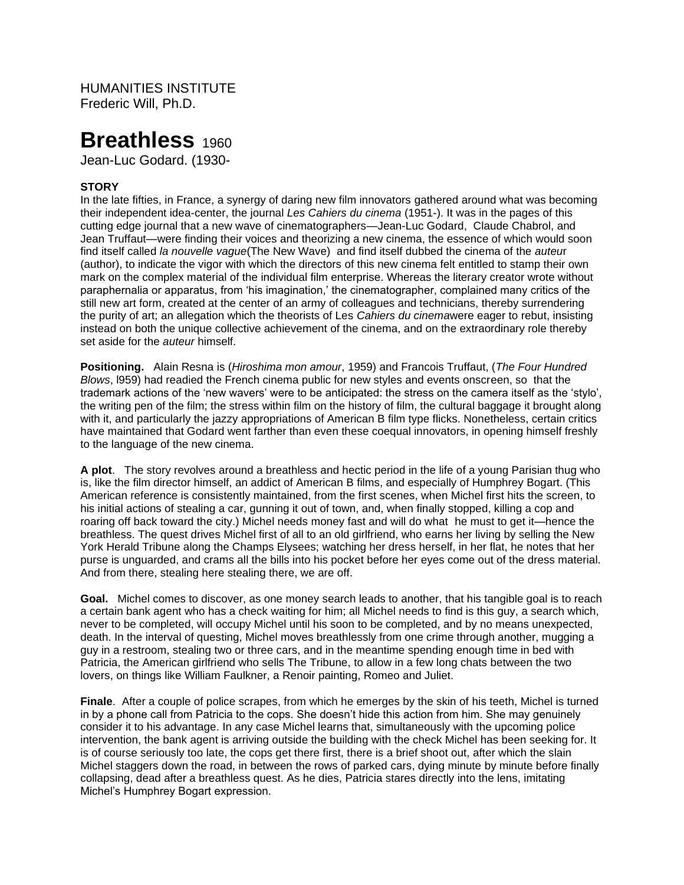HUMANITIES INSTITUTE Frederic Will, Ph.D.

# Breathless<sub>1960</sub>

Jean-Luc Godard. (1930-

## **STORY**

In the late fifties, in France, a synergy of daring new film innovators gathered around what was becoming their independent idea-center, the journal *Les Cahiers du cinema* (1951-). It was in the pages of this cutting edge journal that a new wave of cinematographers—Jean-Luc Godard, Claude Chabrol, and Jean Truffaut—were finding their voices and theorizing a new cinema, the essence of which would soon find itself called *la nouvelle vague*(The New Wave) and find itself dubbed the cinema of the *auteu*r (author), to indicate the vigor with which the directors of this new cinema felt entitled to stamp their own mark on the complex material of the individual film enterprise. Whereas the literary creator wrote without paraphernalia or apparatus, from 'his imagination,' the cinematographer, complained many critics of the still new art form, created at the center of an army of colleagues and technicians, thereby surrendering the purity of art; an allegation which the theorists of Les *Cahiers du cinema*were eager to rebut, insisting instead on both the unique collective achievement of the cinema, and on the extraordinary role thereby set aside for the *auteur* himself.

**Positioning.** Alain Resna is (*Hiroshima mon amour*, 1959) and Francois Truffaut, (*The Four Hundred Blows*, l959) had readied the French cinema public for new styles and events onscreen, so that the trademark actions of the 'new wavers' were to be anticipated: the stress on the camera itself as the 'stylo', the writing pen of the film; the stress within film on the history of film, the cultural baggage it brought along with it, and particularly the jazzy appropriations of American B film type flicks. Nonetheless, certain critics have maintained that Godard went farther than even these coequal innovators, in opening himself freshly to the language of the new cinema.

**A plot**. The story revolves around a breathless and hectic period in the life of a young Parisian thug who is, like the film director himself, an addict of American B films, and especially of Humphrey Bogart. (This American reference is consistently maintained, from the first scenes, when Michel first hits the screen, to his initial actions of stealing a car, gunning it out of town, and, when finally stopped, killing a cop and roaring off back toward the city.) Michel needs money fast and will do what he must to get it—hence the breathless. The quest drives Michel first of all to an old girlfriend, who earns her living by selling the New York Herald Tribune along the Champs Elysees; watching her dress herself, in her flat, he notes that her purse is unguarded, and crams all the bills into his pocket before her eyes come out of the dress material. And from there, stealing here stealing there, we are off.

**Goal.** Michel comes to discover, as one money search leads to another, that his tangible goal is to reach a certain bank agent who has a check waiting for him; all Michel needs to find is this guy, a search which, never to be completed, will occupy Michel until his soon to be completed, and by no means unexpected, death. In the interval of questing, Michel moves breathlessly from one crime through another, mugging a guy in a restroom, stealing two or three cars, and in the meantime spending enough time in bed with Patricia, the American girlfriend who sells The Tribune, to allow in a few long chats between the two lovers, on things like William Faulkner, a Renoir painting, Romeo and Juliet.

**Finale**. After a couple of police scrapes, from which he emerges by the skin of his teeth, Michel is turned in by a phone call from Patricia to the cops. She doesn't hide this action from him. She may genuinely consider it to his advantage. In any case Michel learns that, simultaneously with the upcoming police intervention, the bank agent is arriving outside the building with the check Michel has been seeking for. It is of course seriously too late, the cops get there first, there is a brief shoot out, after which the slain Michel staggers down the road, in between the rows of parked cars, dying minute by minute before finally collapsing, dead after a breathless quest. As he dies, Patricia stares directly into the lens, imitating Michel's Humphrey Bogart expression.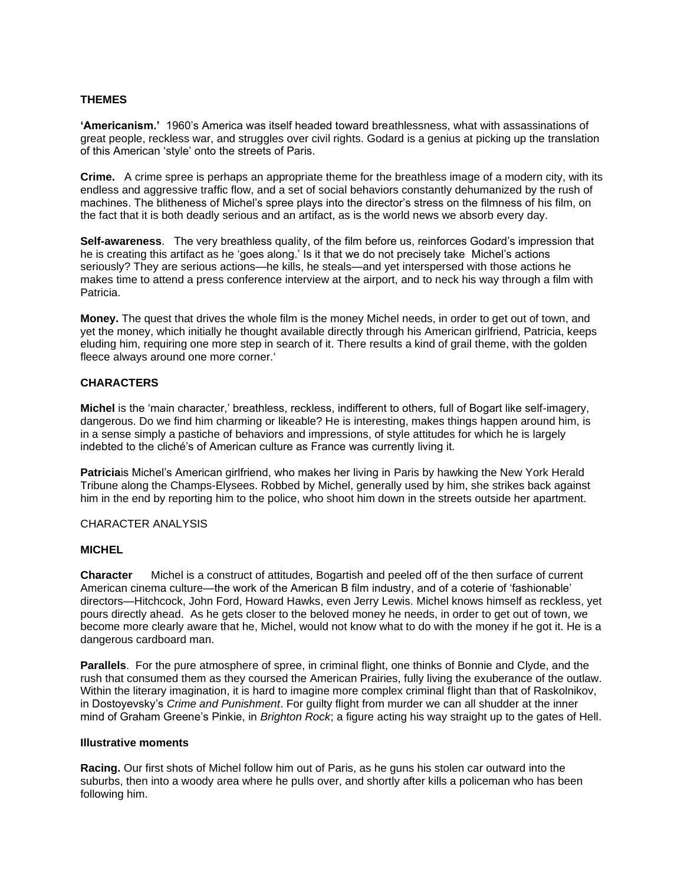## **THEMES**

**'Americanism.'** 1960's America was itself headed toward breathlessness, what with assassinations of great people, reckless war, and struggles over civil rights. Godard is a genius at picking up the translation of this American 'style' onto the streets of Paris.

**Crime.** A crime spree is perhaps an appropriate theme for the breathless image of a modern city, with its endless and aggressive traffic flow, and a set of social behaviors constantly dehumanized by the rush of machines. The blitheness of Michel's spree plays into the director's stress on the filmness of his film, on the fact that it is both deadly serious and an artifact, as is the world news we absorb every day.

**Self-awareness**. The very breathless quality, of the film before us, reinforces Godard's impression that he is creating this artifact as he 'goes along.' Is it that we do not precisely take Michel's actions seriously? They are serious actions—he kills, he steals—and yet interspersed with those actions he makes time to attend a press conference interview at the airport, and to neck his way through a film with Patricia.

**Money.** The quest that drives the whole film is the money Michel needs, in order to get out of town, and yet the money, which initially he thought available directly through his American girlfriend, Patricia, keeps eluding him, requiring one more step in search of it. There results a kind of grail theme, with the golden fleece always around one more corner.'

### **CHARACTERS**

**Michel** is the 'main character,' breathless, reckless, indifferent to others, full of Bogart like self-imagery, dangerous. Do we find him charming or likeable? He is interesting, makes things happen around him, is in a sense simply a pastiche of behaviors and impressions, of style attitudes for which he is largely indebted to the cliché's of American culture as France was currently living it.

**Patricia**is Michel's American girlfriend, who makes her living in Paris by hawking the New York Herald Tribune along the Champs-Elysees. Robbed by Michel, generally used by him, she strikes back against him in the end by reporting him to the police, who shoot him down in the streets outside her apartment.

#### CHARACTER ANALYSIS

#### **MICHEL**

**Character** Michel is a construct of attitudes, Bogartish and peeled off of the then surface of current American cinema culture—the work of the American B film industry, and of a coterie of 'fashionable' directors—Hitchcock, John Ford, Howard Hawks, even Jerry Lewis. Michel knows himself as reckless, yet pours directly ahead. As he gets closer to the beloved money he needs, in order to get out of town, we become more clearly aware that he, Michel, would not know what to do with the money if he got it. He is a dangerous cardboard man.

**Parallels**. For the pure atmosphere of spree, in criminal flight, one thinks of Bonnie and Clyde, and the rush that consumed them as they coursed the American Prairies, fully living the exuberance of the outlaw. Within the literary imagination, it is hard to imagine more complex criminal flight than that of Raskolnikov, in Dostoyevsky's *Crime and Punishment*. For guilty flight from murder we can all shudder at the inner mind of Graham Greene's Pinkie, in *Brighton Rock*; a figure acting his way straight up to the gates of Hell.

#### **Illustrative moments**

**Racing.** Our first shots of Michel follow him out of Paris, as he guns his stolen car outward into the suburbs, then into a woody area where he pulls over, and shortly after kills a policeman who has been following him.